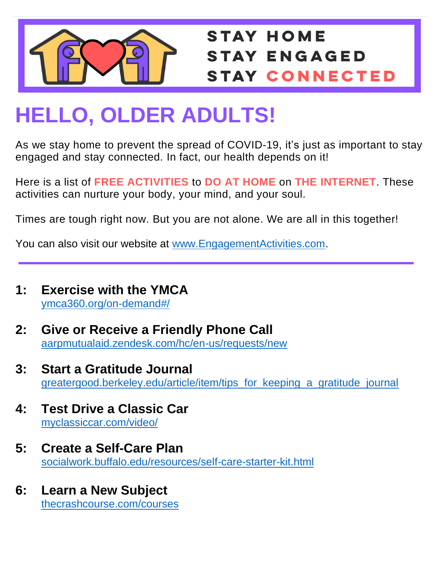

## **STAY HOME STAY ENGAGED STAY CONNECTED**

## **HELLO, OLDER ADULTS!**

As we stay home to prevent the spread of COVID-19, it's just as important to stay engaged and stay connected. In fact, our health depends on it!

Here is a list of **FREE ACTIVITIES** to **DO AT HOME** on **THE INTERNET**. These activities can nurture your body, your mind, and your soul.

Times are tough right now. But you are not alone. We are all in this together!

You can also visit our website at [www.EngagementActivities.com.](http://www.engagementactivities.com/)

- **1: Exercise with the YMCA** [ymca360.org/on-demand#/](https://ymca360.org/on-demand#/)
- **2: Give or Receive a Friendly Phone Call** [aarpmutualaid.zendesk.com/hc/en-us/requests/new](https://aarpmutualaid.zendesk.com/hc/en-us/requests/new)
- **3: Start a Gratitude Journal** [greatergood.berkeley.edu/article/item/tips\\_for\\_keeping\\_a\\_gratitude\\_journal](https://greatergood.berkeley.edu/article/item/tips_for_keeping_a_gratitude_journ%09al)
- **4: Test Drive a Classic Car** [myclassiccar.com/video/](http://www.myclassiccar.com/video/)
- **5: Create a Self-Care Plan**  [socialwork.buffalo.edu/resources/self-care-starter-kit.html](http://socialwork.buffalo.edu/resources/self-care-starter-kit.html)
- **6: Learn a New Subject** [thecrashcourse.com/courses](https://thecrashcourse.com/courses)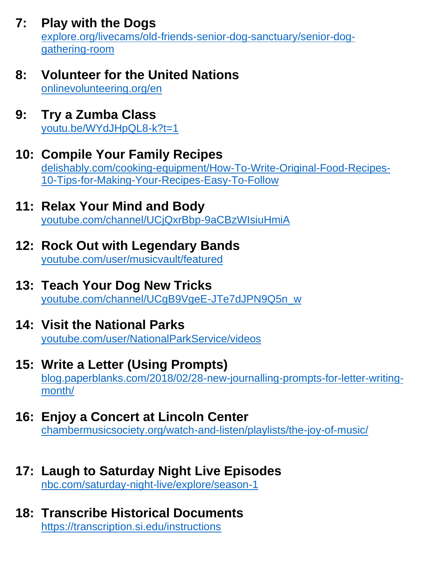**7: Play with the Dogs**

[explore.org/livecams/old-friends-senior-dog-sanctuary/senior-dog](https://explore.org/livecams/old-friends-senior-dog-sanctuary/senior-dog-gathering-%09%09%09room)[gathering-room](https://explore.org/livecams/old-friends-senior-dog-sanctuary/senior-dog-gathering-%09%09%09room)

- **8: Volunteer for the United Nations** [onlinevolunteering.org/en](https://www.onlinevolunteering.org/en)
- **9: Try a Zumba Class** [youtu.be/WYdJHpQL8-k?t=1](https://youtu.be/WYdJHpQL8-k?t=1)
- **10: Compile Your Family Recipes**

[delishably.com/cooking-equipment/How-To-Write-Original-Food-Recipes-](https://delishably.com/cooking-equipment/How-To-Write-Original-Food-Recipes-10-%09%09%09Tips-for-Making-Your-Recipes-Easy-To-Follow)[10-Tips-for-Making-Your-Recipes-Easy-To-Follow](https://delishably.com/cooking-equipment/How-To-Write-Original-Food-Recipes-10-%09%09%09Tips-for-Making-Your-Recipes-Easy-To-Follow)

- **11: Relax Your Mind and Body** [youtube.com/channel/UCjQxrBbp-9aCBzWIsiuHmiA](https://www.youtube.com/channel/UCjQxrBbp-9aCBzWIsiuHmiA)
- **12: Rock Out with Legendary Bands** [youtube.com/user/musicvault/featured](https://www.youtube.com/user/musicvault/featured)
- **13: Teach Your Dog New Tricks** [youtube.com/channel/UCgB9VgeE-JTe7dJPN9Q5n\\_w](https://www.youtube.com/channel/UCgB9VgeE-JTe7dJPN9Q5n_w)
- **14: Visit the National Parks** [youtube.com/user/NationalParkService/videos](https://www.youtube.com/user/NationalParkService/videos)
- **15: Write a Letter (Using Prompts)** [blog.paperblanks.com/2018/02/28-new-journalling-prompts-for-letter-writing](http://blog.paperblanks.com/2018/02/28-new-journalling-prompts-for-letter-%09writing-month/)[month/](http://blog.paperblanks.com/2018/02/28-new-journalling-prompts-for-letter-%09writing-month/)
- **16: Enjoy a Concert at Lincoln Center** [chambermusicsociety.org/watch-and-listen/playlists/the-joy-of-music/](https://www.chambermusicsociety.org/watch-and-listen/playlists/the-joy-of-music/)
- **17: Laugh to Saturday Night Live Episodes** [nbc.com/saturday-night-live/explore/season-1](https://www.nbc.com/saturday-night-live/explore/season-1)
- **18: Transcribe Historical Documents**  <https://transcription.si.edu/instructions>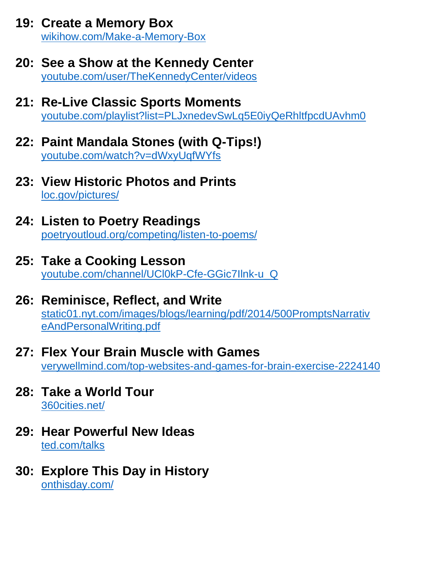- **19: Create a Memory Box** [wikihow.com/Make-a-Memory-Box](https://www.wikihow.com/Make-a-Memory-Box)
- **20: See a Show at the Kennedy Center** [youtube.com/user/TheKennedyCenter/videos](https://www.youtube.com/user/TheKennedyCenter/videos)
- **21: Re-Live Classic Sports Moments** [youtube.com/playlist?list=PLJxnedevSwLq5E0iyQeRhltfpcdUAvhm0](https://www.youtube.com/playlist?list=PLJxnedevSwLq5E0iyQeRhltfpcdUA%09vhm0)
- **22: Paint Mandala Stones (with Q-Tips!)** [youtube.com/watch?v=dWxyUqfWYfs](https://www.youtube.com/watch?v=dWxyUqfWYfs)
- **23: View Historic Photos and Prints** [loc.gov/pictures/](http://www.loc.gov/pictures/)
- **24: Listen to Poetry Readings** [poetryoutloud.org/competing/listen-to-poems/](https://www.poetryoutloud.org/competing/listen-to-poems/)
- **25: Take a Cooking Lesson** [youtube.com/channel/UCl0kP-Cfe-GGic7Ilnk-u\\_Q](https://www.youtube.com/channel/UCl0kP-Cfe-GGic7Ilnk-u_Q)
- **26: Reminisce, Reflect, and Write** [static01.nyt.com/images/blogs/learning/pdf/2014/500PromptsNarrativ](https://static01.nyt.com/images/blogs/learning/pdf/2014/500PromptsNarrativ%09eAndPersonalWriting.pdf) [eAndPersonalWriting.pdf](https://static01.nyt.com/images/blogs/learning/pdf/2014/500PromptsNarrativ%09eAndPersonalWriting.pdf)
- **27: Flex Your Brain Muscle with Games** [verywellmind.com/top-websites-and-games-for-brain-exercise-2224140](https://www.verywellmind.com/top-websites-and-games-for-brain-exercise-%092224140)
- **28: Take a World Tour** [360cities.net/](https://www.360cities.net/)
- **29: Hear Powerful New Ideas**  [ted.com/talks](https://www.ted.com/talks)
- **30: Explore This Day in History** [onthisday.com/](https://www.onthisday.com/)